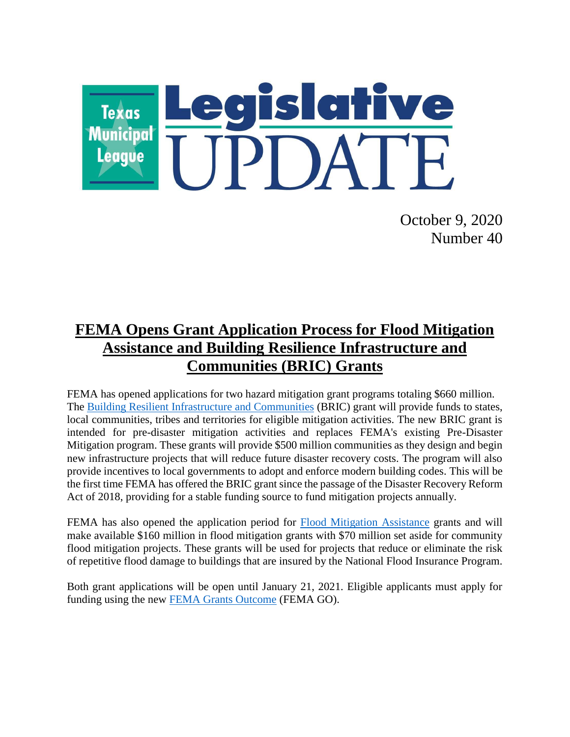

October 9, 2020 Number 40

# **FEMA Opens Grant Application Process for Flood Mitigation Assistance and Building Resilience Infrastructure and Communities (BRIC) Grants**

FEMA has opened applications for two hazard mitigation grant programs totaling \$660 million. The [Building Resilient Infrastructure and Communities](https://www.fema.gov/grants/mitigation/building-resilient-infrastructure-communities) (BRIC) grant will provide funds to states, local communities, tribes and territories for eligible mitigation activities. The new BRIC grant is intended for pre-disaster mitigation activities and replaces FEMA's existing Pre-Disaster Mitigation program. These grants will provide \$500 million communities as they design and begin new infrastructure projects that will reduce future disaster recovery costs. The program will also provide incentives to local governments to adopt and enforce modern building codes. This will be the first time FEMA has offered the BRIC grant since the passage of the Disaster Recovery Reform Act of 2018, providing for a stable funding source to fund mitigation projects annually.

FEMA has also opened the application period for [Flood Mitigation Assistance](https://www.fema.gov/grants/mitigation/floods) grants and will make available \$160 million in flood mitigation grants with \$70 million set aside for community flood mitigation projects. These grants will be used for projects that reduce or eliminate the risk of repetitive flood damage to buildings that are insured by the National Flood Insurance Program.

Both grant applications will be open until January 21, 2021. Eligible applicants must apply for funding using the new [FEMA Grants Outcome](https://go.fema.gov/login?redirect=%2F) (FEMA GO).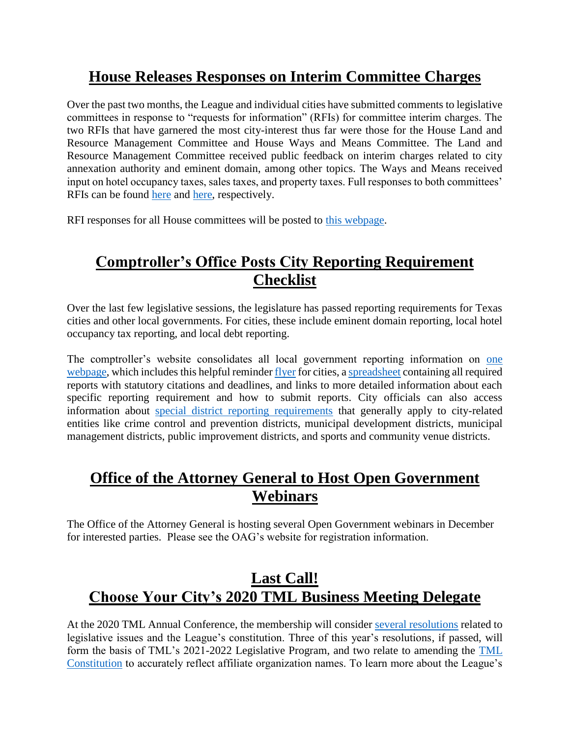# **House Releases Responses on Interim Committee Charges**

Over the past two months, the League and individual cities have submitted comments to legislative committees in response to "requests for information" (RFIs) for committee interim charges. The two RFIs that have garnered the most city-interest thus far were those for the House Land and Resource Management Committee and House Ways and Means Committee. The Land and Resource Management Committee received public feedback on interim charges related to city annexation authority and eminent domain, among other topics. The Ways and Means received input on hotel occupancy taxes, sales taxes, and property taxes. Full responses to both committees' RFIs can be found [here](https://capitol.texas.gov/tlodocs/86R/handouts/C3602020072000001/C3602020072000001.pdf) and [here,](https://capitol.texas.gov/tlodocs/86R/handouts/C4902020072900001/C4902020072900001.pdf) respectively.

RFI responses for all House committees will be posted to [this webpage.](https://house.texas.gov/committees/committee/requests-for-information/)

# **Comptroller's Office Posts City Reporting Requirement Checklist**

Over the last few legislative sessions, the legislature has passed reporting requirements for Texas cities and other local governments. For cities, these include eminent domain reporting, local hotel occupancy tax reporting, and local debt reporting.

The comptroller's website consolidates all local government reporting information on [one](https://comptroller.texas.gov/transparency/local/requirements.php)  [webpage,](https://comptroller.texas.gov/transparency/local/requirements.php) which includes this helpful reminder [flyer](https://comptroller.texas.gov/transparency/local/docs/city-requirements.pdf) for cities, [a spreadsheet](https://comptroller.texas.gov/transparency/local/docs/all-reports.xlsx) containing all required reports with statutory citations and deadlines, and links to more detailed information about each specific reporting requirement and how to submit reports. City officials can also access information about [special district reporting requirements](https://comptroller.texas.gov/transparency/local/sb625/) that generally apply to city-related entities like crime control and prevention districts, municipal development districts, municipal management districts, public improvement districts, and sports and community venue districts.

### **Office of the Attorney General to Host Open Government Webinars**

The Office of the Attorney General is hosting several Open Government webinars in December for interested parties. Please see the OAG's website for registration information.

# **Last Call! Choose Your City's 2020 TML Business Meeting Delegate**

At the 2020 TML Annual Conference, the membership will consider several [resolutions](https://www.tml.org/DocumentCenter/View/2151/2020-Resolutions-Submitted-to-Membership) related to legislative issues and the League's constitution. Three of this year's resolutions, if passed, will form the basis of TML's 2021-2022 Legislative Program, and two relate to amending the [TML](https://www.tml.org/257/TML-Constitution)  [Constitution](https://www.tml.org/257/TML-Constitution) to accurately reflect affiliate organization names. To learn more about the League's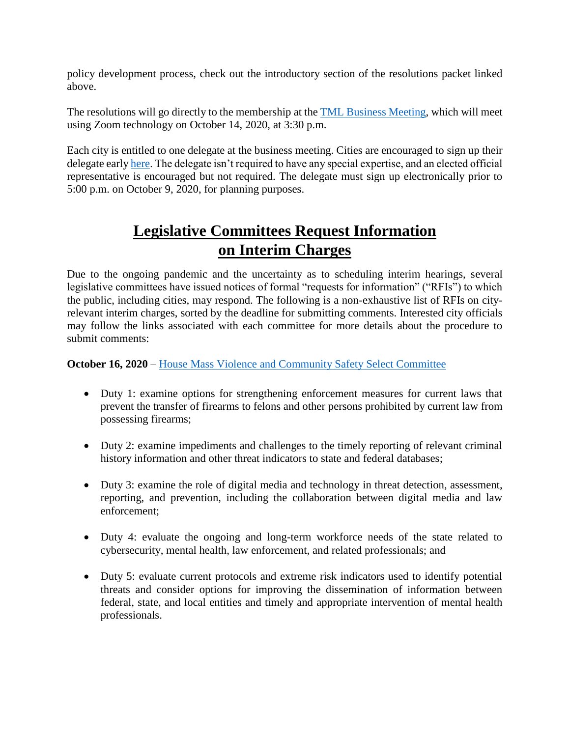policy development process, check out the introductory section of the resolutions packet linked above.

The resolutions will go directly to the membership at the **TML** Business Meeting, which will meet using Zoom technology on October 14, 2020, at 3:30 p.m.

Each city is entitled to one delegate at the business meeting. Cities are encouraged to sign up their delegate earl[y here.](https://www.tml.org/FormCenter/Member-Resources-5/2020-TML-Business-Meeting-67) The delegate isn't required to have any special expertise, and an elected official representative is encouraged but not required. The delegate must sign up electronically prior to 5:00 p.m. on October 9, 2020, for planning purposes.

# **Legislative Committees Request Information on Interim Charges**

Due to the ongoing pandemic and the uncertainty as to scheduling interim hearings, several legislative committees have issued notices of formal "requests for information" ("RFIs") to which the public, including cities, may respond. The following is a non-exhaustive list of RFIs on cityrelevant interim charges, sorted by the deadline for submitting comments. Interested city officials may follow the links associated with each committee for more details about the procedure to submit comments:

#### **October 16, 2020** – [House Mass Violence and Community Safety Select Committee](https://capitol.texas.gov/tlodocs/86R/schedules/html/C3852020100100001.HTM)

- Duty 1: examine options for strengthening enforcement measures for current laws that prevent the transfer of firearms to felons and other persons prohibited by current law from possessing firearms;
- Duty 2: examine impediments and challenges to the timely reporting of relevant criminal history information and other threat indicators to state and federal databases;
- Duty 3: examine the role of digital media and technology in threat detection, assessment, reporting, and prevention, including the collaboration between digital media and law enforcement;
- Duty 4: evaluate the ongoing and long-term workforce needs of the state related to cybersecurity, mental health, law enforcement, and related professionals; and
- Duty 5: evaluate current protocols and extreme risk indicators used to identify potential threats and consider options for improving the dissemination of information between federal, state, and local entities and timely and appropriate intervention of mental health professionals.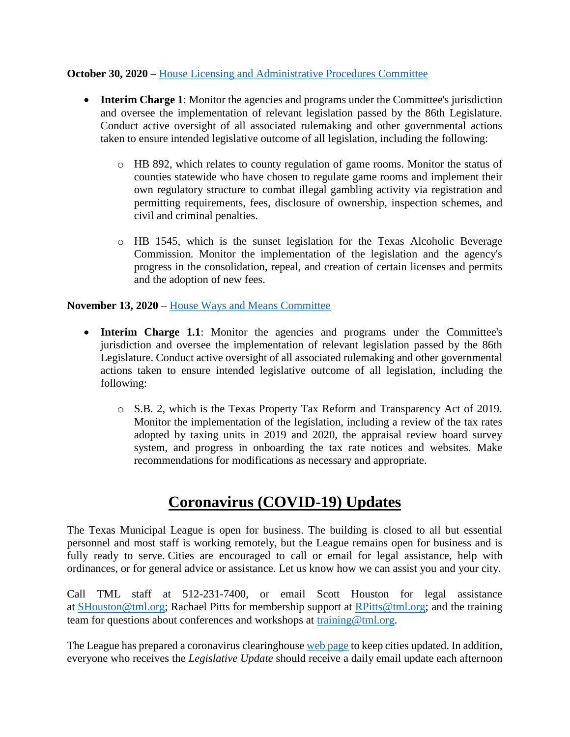#### **October 30, 2020** – [House Licensing and Administrative Procedures Committee](https://capitol.texas.gov/tlodocs/86R/schedules/pdf/C3502020081100001.pdf)

- **Interim Charge 1**: Monitor the agencies and programs under the Committee's jurisdiction and oversee the implementation of relevant legislation passed by the 86th Legislature. Conduct active oversight of all associated rulemaking and other governmental actions taken to ensure intended legislative outcome of all legislation, including the following:
	- o HB 892, which relates to county regulation of game rooms. Monitor the status of counties statewide who have chosen to regulate game rooms and implement their own regulatory structure to combat illegal gambling activity via registration and permitting requirements, fees, disclosure of ownership, inspection schemes, and civil and criminal penalties.
	- o HB 1545, which is the sunset legislation for the Texas Alcoholic Beverage Commission. Monitor the implementation of the legislation and the agency's progress in the consolidation, repeal, and creation of certain licenses and permits and the adoption of new fees.

#### **November 13, 2020** – [House Ways and Means Committee](https://capitol.texas.gov/tlodocs/86R/schedules/pdf/C4902020072900002.pdf)

- **Interim Charge 1.1**: Monitor the agencies and programs under the Committee's jurisdiction and oversee the implementation of relevant legislation passed by the 86th Legislature. Conduct active oversight of all associated rulemaking and other governmental actions taken to ensure intended legislative outcome of all legislation, including the following:
	- o S.B. 2, which is the Texas Property Tax Reform and Transparency Act of 2019. Monitor the implementation of the legislation, including a review of the tax rates adopted by taxing units in 2019 and 2020, the appraisal review board survey system, and progress in onboarding the tax rate notices and websites. Make recommendations for modifications as necessary and appropriate.

#### **Coronavirus (COVID-19) Updates**

The Texas Municipal League is open for business. The building is closed to all but essential personnel and most staff is working remotely, but the League remains open for business and is fully ready to serve. Cities are encouraged to call or email for legal assistance, help with ordinances, or for general advice or assistance. Let us know how we can assist you and your city.

Call TML staff at 512-231-7400, or email Scott Houston for legal assistance at [SHouston@tml.org;](mailto:SHouston@tml.org) Rachael Pitts for membership support at [RPitts@tml.org;](mailto:RPitts@tml.org) and the training team for questions about conferences and workshops at [training@tml.org.](mailto:training@tml.org)

The League has prepared a coronavirus clearinghous[e web page](https://www.tml.org/654/Coronavirus-COVID-19-Resources) to keep cities updated. In addition, everyone who receives the *Legislative Update* should receive a daily email update each afternoon